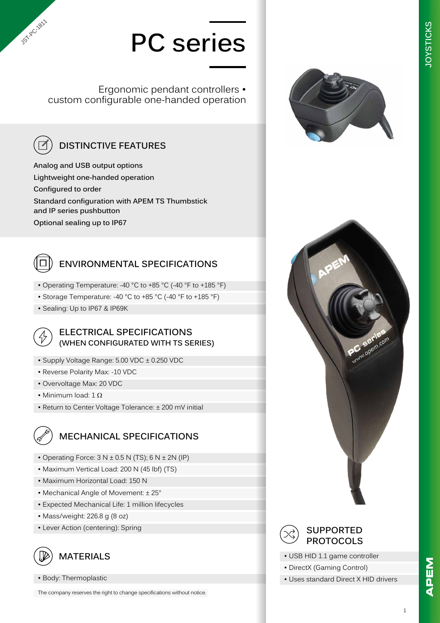# **PC series**

Ergonomic pendant controllers • custom configurable one-handed operation



**JST-RC-1811** 

### **DISTINCTIVE FEATURES**

**Analog and USB output options Lightweight one-handed operation Configured to order Standard configuration with APEM TS Thumbstick and IP series pushbutton Optional sealing up to IP67**



#### **ENVIRONMENTAL SPECIFICATIONS**

- Operating Temperature: -40 °C to +85 °C (-40 °F to +185 °F)
- Storage Temperature: -40 °C to +85 °C (-40 °F to +185 °F)
- Sealing: Up to IP67 & IP69K



#### **ELECTRICAL SPECIFICATIONS (WHEN CONFIGURATED WITH TS SERIES)**

- Supply Voltage Range: 5.00 VDC ± 0.250 VDC
- Reverse Polarity Max: -10 VDC
- Overvoltage Max: 20 VDC
- Minimum load:  $1 \Omega$
- Return to Center Voltage Tolerance: ± 200 mV initial

#### **MECHANICAL SPECIFICATIONS**

- Operating Force:  $3 N ± 0.5 N (TS)$ ;  $6 N ± 2N (IP)$
- Maximum Vertical Load: 200 N (45 lbf) (TS)
- Maximum Horizontal Load: 150 N
- Mechanical Angle of Movement: ± 25°
- Expected Mechanical Life: 1 million lifecycles
- Mass/weight: 226.8 g (8 oz)
- Lever Action (centering): Spring



• Body: Thermoplastic

The company reserves the right to change specifications without notice.







#### **SUPPORTED PROTOCOLS**

- USB HID 1.1 game controller
- DirectX (Gaming Control)
- Uses standard Direct X HID drivers

1